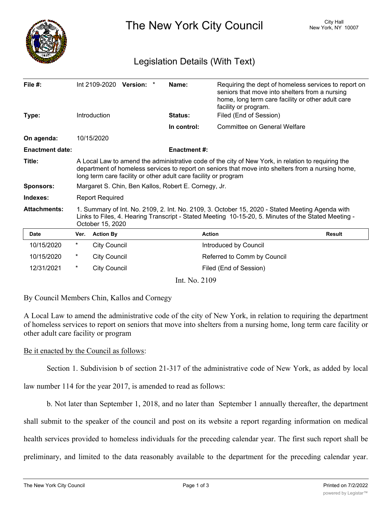

The New York City Council New York, NY 10007

## Legislation Details (With Text)

| File #:<br>Type:       |                                                                                                                                                                                                                                                                            | <b>Introduction</b> | Int 2109-2020 Version: * |  | Name:<br><b>Status:</b> | Requiring the dept of homeless services to report on<br>seniors that move into shelters from a nursing<br>home, long term care facility or other adult care<br>facility or program.<br>Filed (End of Session) |               |
|------------------------|----------------------------------------------------------------------------------------------------------------------------------------------------------------------------------------------------------------------------------------------------------------------------|---------------------|--------------------------|--|-------------------------|---------------------------------------------------------------------------------------------------------------------------------------------------------------------------------------------------------------|---------------|
|                        |                                                                                                                                                                                                                                                                            |                     |                          |  | In control:             | Committee on General Welfare                                                                                                                                                                                  |               |
|                        |                                                                                                                                                                                                                                                                            |                     |                          |  |                         |                                                                                                                                                                                                               |               |
| On agenda:             |                                                                                                                                                                                                                                                                            | 10/15/2020          |                          |  |                         |                                                                                                                                                                                                               |               |
| <b>Enactment date:</b> |                                                                                                                                                                                                                                                                            |                     |                          |  | <b>Enactment#:</b>      |                                                                                                                                                                                                               |               |
| Title:                 | A Local Law to amend the administrative code of the city of New York, in relation to requiring the<br>department of homeless services to report on seniors that move into shelters from a nursing home,<br>long term care facility or other adult care facility or program |                     |                          |  |                         |                                                                                                                                                                                                               |               |
| <b>Sponsors:</b>       | Margaret S. Chin, Ben Kallos, Robert E. Cornegy, Jr.                                                                                                                                                                                                                       |                     |                          |  |                         |                                                                                                                                                                                                               |               |
| Indexes:               | <b>Report Required</b>                                                                                                                                                                                                                                                     |                     |                          |  |                         |                                                                                                                                                                                                               |               |
| <b>Attachments:</b>    | 1. Summary of Int. No. 2109, 2. Int. No. 2109, 3. October 15, 2020 - Stated Meeting Agenda with<br>Links to Files, 4. Hearing Transcript - Stated Meeting 10-15-20, 5. Minutes of the Stated Meeting -<br>October 15, 2020                                                 |                     |                          |  |                         |                                                                                                                                                                                                               |               |
| Date                   | Ver.                                                                                                                                                                                                                                                                       | <b>Action By</b>    |                          |  |                         | <b>Action</b>                                                                                                                                                                                                 | <b>Result</b> |
| 10/15/2020             | $^{\star}$                                                                                                                                                                                                                                                                 | <b>City Council</b> |                          |  |                         | Introduced by Council                                                                                                                                                                                         |               |
| 10/15/2020             | *                                                                                                                                                                                                                                                                          | <b>City Council</b> |                          |  |                         | Referred to Comm by Council                                                                                                                                                                                   |               |
| 12/31/2021             | $\star$                                                                                                                                                                                                                                                                    | <b>City Council</b> |                          |  |                         | Filed (End of Session)                                                                                                                                                                                        |               |

Int. No. 2109

By Council Members Chin, Kallos and Cornegy

A Local Law to amend the administrative code of the city of New York, in relation to requiring the department of homeless services to report on seniors that move into shelters from a nursing home, long term care facility or other adult care facility or program

Be it enacted by the Council as follows:

Section 1. Subdivision b of section 21-317 of the administrative code of New York, as added by local

law number 114 for the year 2017, is amended to read as follows:

b. Not later than September 1, 2018, and no later than September 1 annually thereafter, the department

shall submit to the speaker of the council and post on its website a report regarding information on medical health services provided to homeless individuals for the preceding calendar year. The first such report shall be preliminary, and limited to the data reasonably available to the department for the preceding calendar year.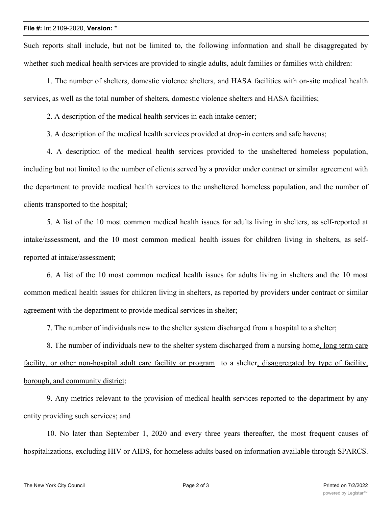Such reports shall include, but not be limited to, the following information and shall be disaggregated by whether such medical health services are provided to single adults, adult families or families with children:

1. The number of shelters, domestic violence shelters, and HASA facilities with on-site medical health services, as well as the total number of shelters, domestic violence shelters and HASA facilities;

2. A description of the medical health services in each intake center;

3. A description of the medical health services provided at drop-in centers and safe havens;

4. A description of the medical health services provided to the unsheltered homeless population, including but not limited to the number of clients served by a provider under contract or similar agreement with the department to provide medical health services to the unsheltered homeless population, and the number of clients transported to the hospital;

5. A list of the 10 most common medical health issues for adults living in shelters, as self-reported at intake/assessment, and the 10 most common medical health issues for children living in shelters, as selfreported at intake/assessment;

6. A list of the 10 most common medical health issues for adults living in shelters and the 10 most common medical health issues for children living in shelters, as reported by providers under contract or similar agreement with the department to provide medical services in shelter;

7. The number of individuals new to the shelter system discharged from a hospital to a shelter;

8. The number of individuals new to the shelter system discharged from a nursing home, long term care facility, or other non-hospital adult care facility or program to a shelter, disaggregated by type of facility, borough, and community district;

9. Any metrics relevant to the provision of medical health services reported to the department by any entity providing such services; and

10. No later than September 1, 2020 and every three years thereafter, the most frequent causes of hospitalizations, excluding HIV or AIDS, for homeless adults based on information available through SPARCS.